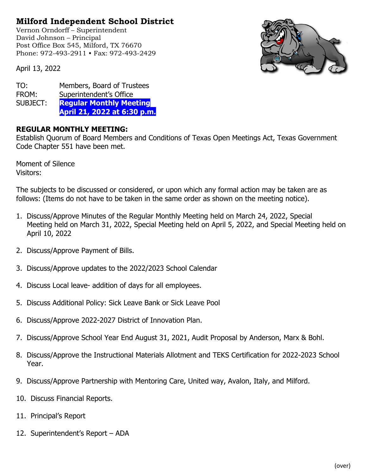## **Milford Independent School District**

Vernon Orndorff – Superintendent David Johnson – Principal Post Office Box 545, Milford, TX 76670 Phone: 972-493-2911 • Fax: 972-493-2429



April 13, 2022

TO: Members, Board of Trustees FROM: Superintendent's Office SUBJECT: **Regular Monthly Meeting April 21, 2022 at 6:30 p.m.**

## **REGULAR MONTHLY MEETING:**

Establish Quorum of Board Members and Conditions of Texas Open Meetings Act, Texas Government Code Chapter 551 have been met.

Moment of Silence Visitors:

The subjects to be discussed or considered, or upon which any formal action may be taken are as follows: (Items do not have to be taken in the same order as shown on the meeting notice).

- 1. Discuss/Approve Minutes of the Regular Monthly Meeting held on March 24, 2022, Special Meeting held on March 31, 2022, Special Meeting held on April 5, 2022, and Special Meeting held on April 10, 2022
- 2. Discuss/Approve Payment of Bills.
- 3. Discuss/Approve updates to the 2022/2023 School Calendar
- 4. Discuss Local leave- addition of days for all employees.
- 5. Discuss Additional Policy: Sick Leave Bank or Sick Leave Pool
- 6. Discuss/Approve 2022-2027 District of Innovation Plan.
- 7. Discuss/Approve School Year End August 31, 2021, Audit Proposal by Anderson, Marx & Bohl.
- 8. Discuss/Approve the Instructional Materials Allotment and TEKS Certification for 2022-2023 School Year.
- 9. Discuss/Approve Partnership with Mentoring Care, United way, Avalon, Italy, and Milford.
- 10. Discuss Financial Reports.
- 11. Principal's Report
- 12. Superintendent's Report ADA